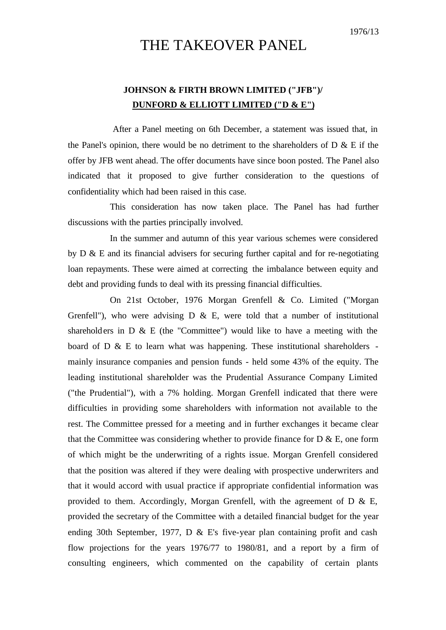## THE TAKEOVER PANEL

## **JOHNSON & FIRTH BROWN LIMITED ("JFB")/ DUNFORD & ELLIOTT LIMITED ("D & E")**

After a Panel meeting on 6th December, a statement was issued that, in the Panel's opinion, there would be no detriment to the shareholders of  $D \& E$  if the offer by JFB went ahead. The offer documents have since boon posted. The Panel also indicated that it proposed to give further consideration to the questions of confidentiality which had been raised in this case.

This consideration has now taken place. The Panel has had further discussions with the parties principally involved.

In the summer and autumn of this year various schemes were considered by D & E and its financial advisers for securing further capital and for re-negotiating loan repayments. These were aimed at correcting the imbalance between equity and debt and providing funds to deal with its pressing financial difficulties.

On 21st October, 1976 Morgan Grenfell & Co. Limited ("Morgan Grenfell"), who were advising  $D \& E$ , were told that a number of institutional shareholders in  $D \& E$  (the "Committee") would like to have a meeting with the board of D  $\&$  E to learn what was happening. These institutional shareholders mainly insurance companies and pension funds - held some 43% of the equity. The leading institutional shareholder was the Prudential Assurance Company Limited ("the Prudential"), with a 7% holding. Morgan Grenfell indicated that there were difficulties in providing some shareholders with information not available to the rest. The Committee pressed for a meeting and in further exchanges it became clear that the Committee was considering whether to provide finance for  $D \& E$ , one form of which might be the underwriting of a rights issue. Morgan Grenfell considered that the position was altered if they were dealing with prospective underwriters and that it would accord with usual practice if appropriate confidential information was provided to them. Accordingly, Morgan Grenfell, with the agreement of D  $\&$  E, provided the secretary of the Committee with a detailed financial budget for the year ending 30th September, 1977, D & E's five-year plan containing profit and cash flow projections for the years 1976/77 to 1980/81, and a report by a firm of consulting engineers, which commented on the capability of certain plants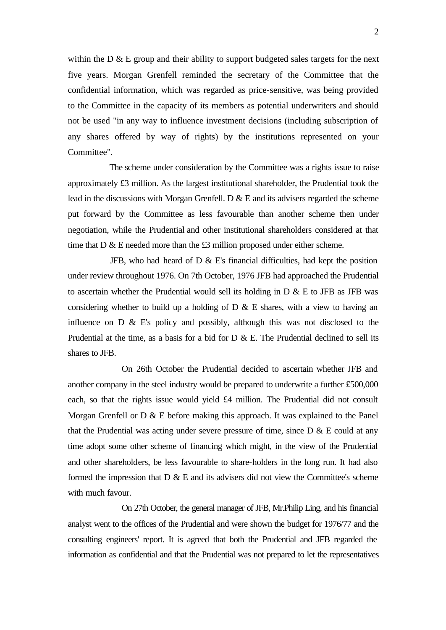within the D & E group and their ability to support budgeted sales targets for the next five years. Morgan Grenfell reminded the secretary of the Committee that the confidential information, which was regarded as price-sensitive, was being provided to the Committee in the capacity of its members as potential underwriters and should not be used "in any way to influence investment decisions (including subscription of any shares offered by way of rights) by the institutions represented on your Committee".

The scheme under consideration by the Committee was a rights issue to raise approximately £3 million. As the largest institutional shareholder, the Prudential took the lead in the discussions with Morgan Grenfell. D & E and its advisers regarded the scheme put forward by the Committee as less favourable than another scheme then under negotiation, while the Prudential and other institutional shareholders considered at that time that D & E needed more than the £3 million proposed under either scheme.

JFB, who had heard of  $D \& E$ 's financial difficulties, had kept the position under review throughout 1976. On 7th October, 1976 JFB had approached the Prudential to ascertain whether the Prudential would sell its holding in D & E to JFB as JFB was considering whether to build up a holding of  $D \& E$  shares, with a view to having an influence on D & E's policy and possibly, although this was not disclosed to the Prudential at the time, as a basis for a bid for D & E. The Prudential declined to sell its shares to JFB.

On 26th October the Prudential decided to ascertain whether JFB and another company in the steel industry would be prepared to underwrite a further £500,000 each, so that the rights issue would yield £4 million. The Prudential did not consult Morgan Grenfell or D & E before making this approach. It was explained to the Panel that the Prudential was acting under severe pressure of time, since  $D \& E$  could at any time adopt some other scheme of financing which might, in the view of the Prudential and other shareholders, be less favourable to share-holders in the long run. It had also formed the impression that  $D \& E$  and its advisers did not view the Committee's scheme with much favour.

On 27th October, the general manager of JFB, Mr.Philip Ling, and his financial analyst went to the offices of the Prudential and were shown the budget for 1976/77 and the consulting engineers' report. It is agreed that both the Prudential and JFB regarded the information as confidential and that the Prudential was not prepared to let the representatives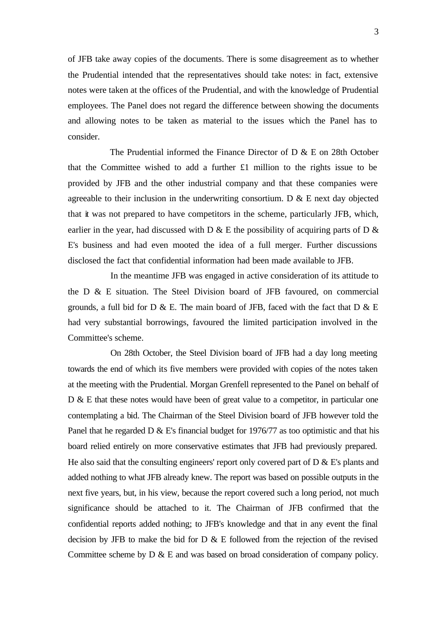of JFB take away copies of the documents. There is some disagreement as to whether the Prudential intended that the representatives should take notes: in fact, extensive notes were taken at the offices of the Prudential, and with the knowledge of Prudential employees. The Panel does not regard the difference between showing the documents and allowing notes to be taken as material to the issues which the Panel has to consider.

The Prudential informed the Finance Director of D & E on 28th October that the Committee wished to add a further £1 million to the rights issue to be provided by JFB and the other industrial company and that these companies were agreeable to their inclusion in the underwriting consortium.  $D \& E$  next day objected that it was not prepared to have competitors in the scheme, particularly JFB, which, earlier in the year, had discussed with D & E the possibility of acquiring parts of D & E's business and had even mooted the idea of a full merger. Further discussions disclosed the fact that confidential information had been made available to JFB.

In the meantime JFB was engaged in active consideration of its attitude to the D & E situation. The Steel Division board of JFB favoured, on commercial grounds, a full bid for D  $\&$  E. The main board of JFB, faced with the fact that D  $\&$  E had very substantial borrowings, favoured the limited participation involved in the Committee's scheme.

On 28th October, the Steel Division board of JFB had a day long meeting towards the end of which its five members were provided with copies of the notes taken at the meeting with the Prudential. Morgan Grenfell represented to the Panel on behalf of D & E that these notes would have been of great value to a competitor, in particular one contemplating a bid. The Chairman of the Steel Division board of JFB however told the Panel that he regarded D & E's financial budget for 1976/77 as too optimistic and that his board relied entirely on more conservative estimates that JFB had previously prepared. He also said that the consulting engineers' report only covered part of  $D \& E$ 's plants and added nothing to what JFB already knew. The report was based on possible outputs in the next five years, but, in his view, because the report covered such a long period, not much significance should be attached to it. The Chairman of JFB confirmed that the confidential reports added nothing; to JFB's knowledge and that in any event the final decision by JFB to make the bid for  $D \& E$  followed from the rejection of the revised Committee scheme by D & E and was based on broad consideration of company policy.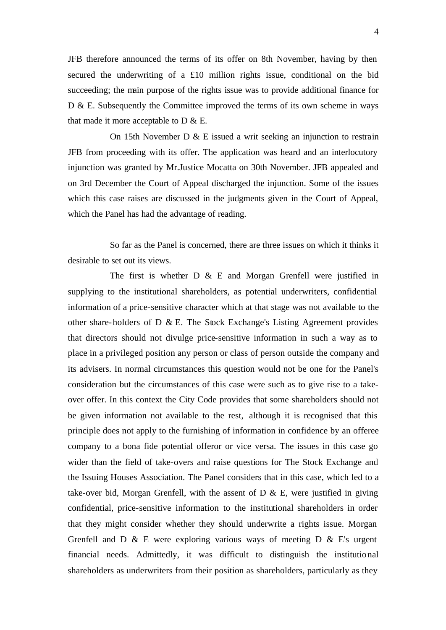JFB therefore announced the terms of its offer on 8th November, having by then secured the underwriting of a £10 million rights issue, conditional on the bid succeeding; the main purpose of the rights issue was to provide additional finance for D & E. Subsequently the Committee improved the terms of its own scheme in ways that made it more acceptable to  $D \& E$ .

On 15th November D & E issued a writ seeking an injunction to restrain JFB from proceeding with its offer. The application was heard and an interlocutory injunction was granted by Mr.Justice Mocatta on 30th November. JFB appealed and on 3rd December the Court of Appeal discharged the injunction. Some of the issues which this case raises are discussed in the judgments given in the Court of Appeal, which the Panel has had the advantage of reading.

So far as the Panel is concerned, there are three issues on which it thinks it desirable to set out its views.

The first is whether  $D \& E$  and Morgan Grenfell were justified in supplying to the institutional shareholders, as potential underwriters, confidential information of a price-sensitive character which at that stage was not available to the other share-holders of D & E. The Stock Exchange's Listing Agreement provides that directors should not divulge price-sensitive information in such a way as to place in a privileged position any person or class of person outside the company and its advisers. In normal circumstances this question would not be one for the Panel's consideration but the circumstances of this case were such as to give rise to a takeover offer. In this context the City Code provides that some shareholders should not be given information not available to the rest, although it is recognised that this principle does not apply to the furnishing of information in confidence by an offeree company to a bona fide potential offeror or vice versa. The issues in this case go wider than the field of take-overs and raise questions for The Stock Exchange and the Issuing Houses Association. The Panel considers that in this case, which led to a take-over bid, Morgan Grenfell, with the assent of  $D \& E$ , were justified in giving confidential, price-sensitive information to the institutional shareholders in order that they might consider whether they should underwrite a rights issue. Morgan Grenfell and  $D \& E$  were exploring various ways of meeting  $D \& E$ 's urgent financial needs. Admittedly, it was difficult to distinguish the institutional shareholders as underwriters from their position as shareholders, particularly as they